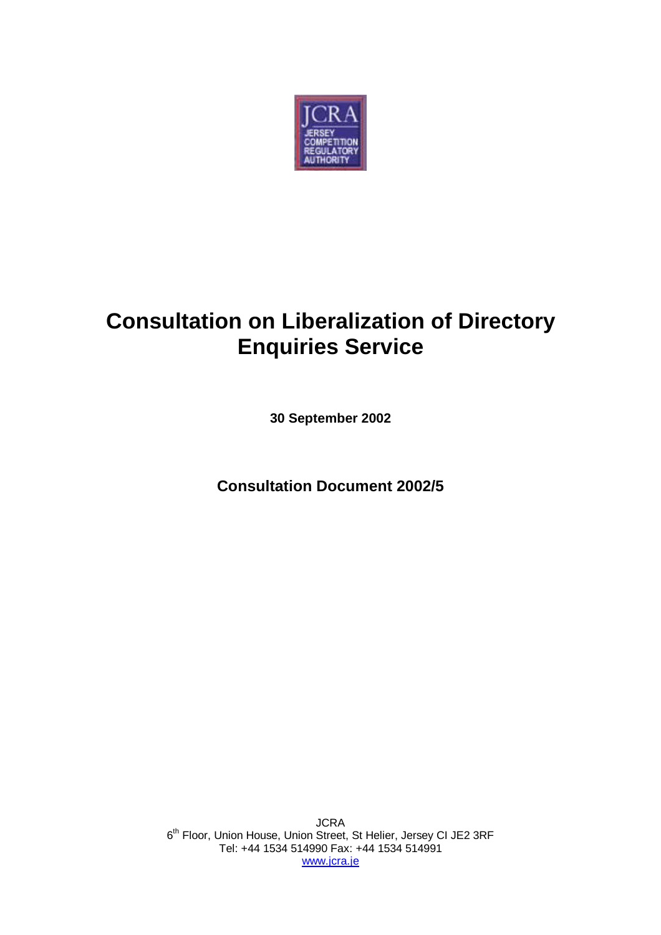

# **Consultation on Liberalization of Directory Enquiries Service**

**30 September 2002**

**Consultation Document 2002/5**

JCRA 6<sup>th</sup> Floor, Union House, Union Street, St Helier, Jersey CI JE2 3RF Tel: +44 1534 514990 Fax: +44 1534 514991 www.jcra.je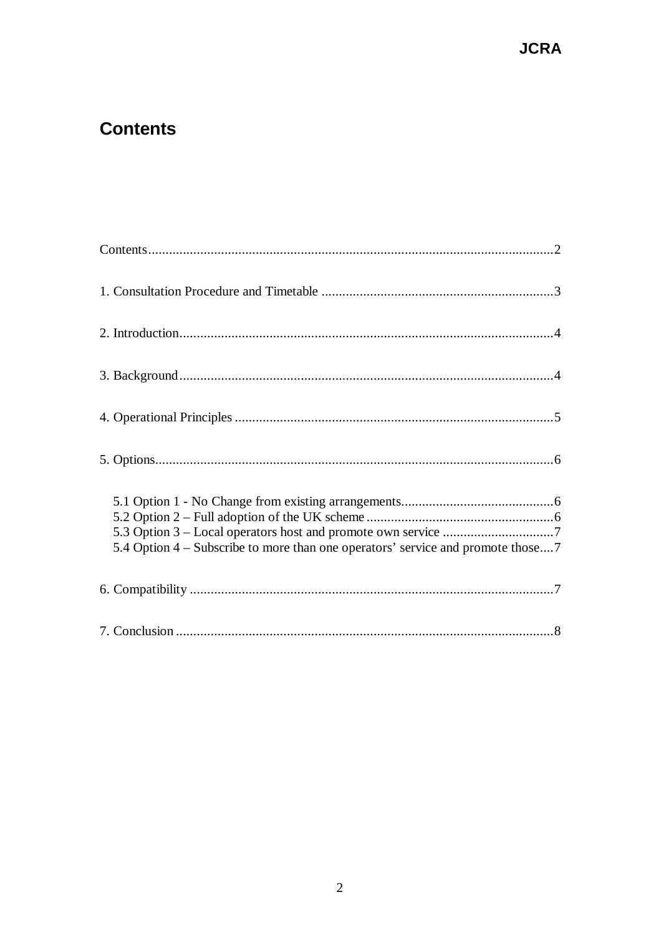### **Contents**

| 5.4 Option 4 – Subscribe to more than one operators' service and promote those7 |
|---------------------------------------------------------------------------------|
|                                                                                 |
|                                                                                 |

### **JCRA**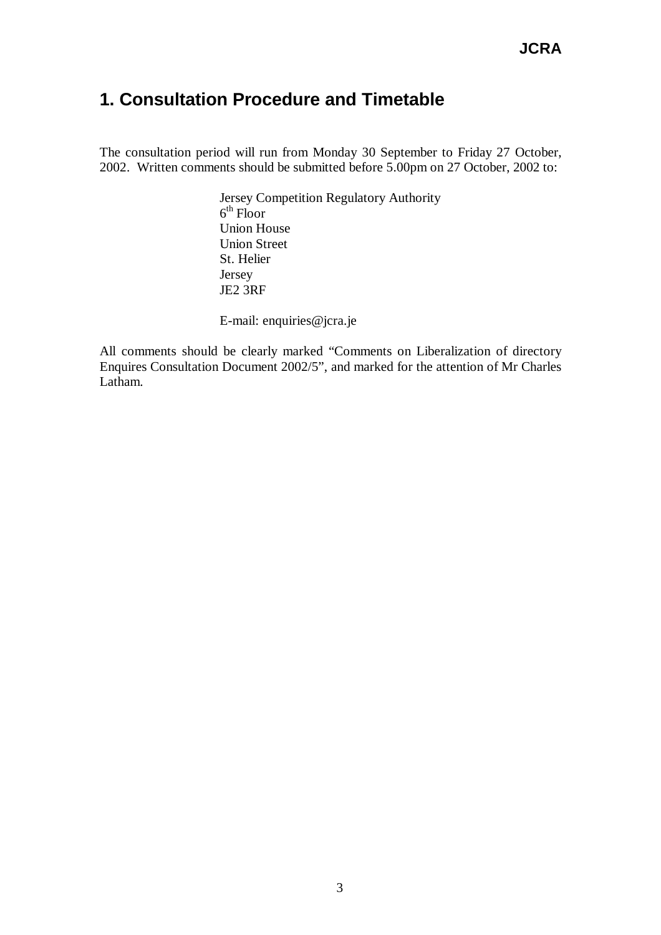### **1. Consultation Procedure and Timetable**

The consultation period will run from Monday 30 September to Friday 27 October, 2002. Written comments should be submitted before 5.00pm on 27 October, 2002 to:

> Jersey Competition Regulatory Authority  $6<sup>th</sup>$  Floor Union House Union Street St. Helier Jersey JE2 3RF

E-mail: enquiries@jcra.je

All comments should be clearly marked "Comments on Liberalization of directory Enquires Consultation Document 2002/5", and marked for the attention of Mr Charles Latham.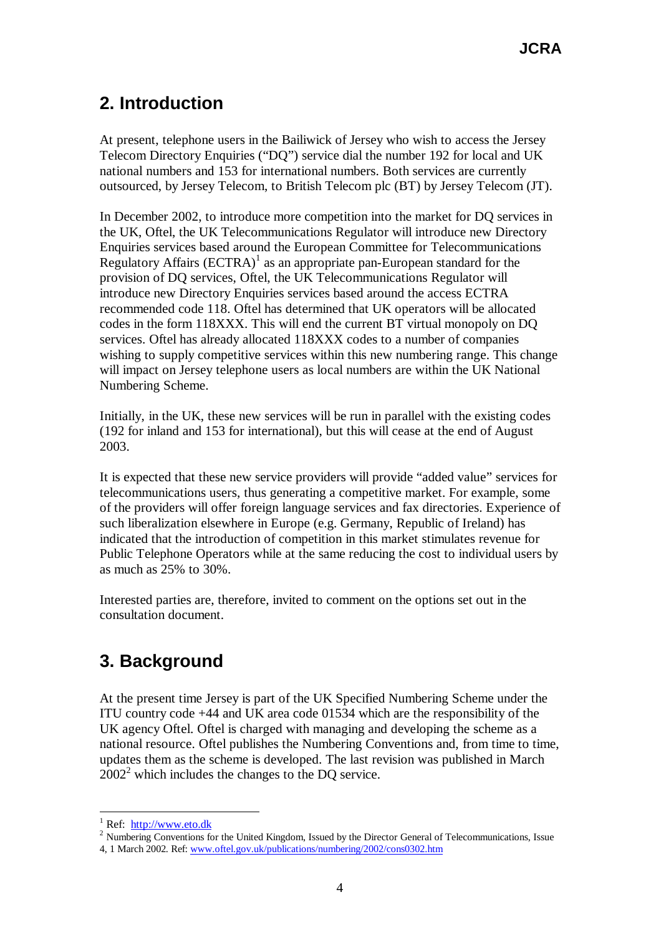## **2. Introduction**

At present, telephone users in the Bailiwick of Jersey who wish to access the Jersey Telecom Directory Enquiries ("DQ") service dial the number 192 for local and UK national numbers and 153 for international numbers. Both services are currently outsourced, by Jersey Telecom, to British Telecom plc (BT) by Jersey Telecom (JT).

In December 2002, to introduce more competition into the market for DQ services in the UK, Oftel, the UK Telecommunications Regulator will introduce new Directory Enquiries services based around the European Committee for Telecommunications Regulatory Affairs  $(ECTRA)^1$  as an appropriate pan-European standard for the provision of DQ services, Oftel, the UK Telecommunications Regulator will introduce new Directory Enquiries services based around the access ECTRA recommended code 118. Oftel has determined that UK operators will be allocated codes in the form 118XXX. This will end the current BT virtual monopoly on DQ services. Oftel has already allocated 118XXX codes to a number of companies wishing to supply competitive services within this new numbering range. This change will impact on Jersey telephone users as local numbers are within the UK National Numbering Scheme.

Initially, in the UK, these new services will be run in parallel with the existing codes (192 for inland and 153 for international), but this will cease at the end of August 2003.

It is expected that these new service providers will provide "added value" services for telecommunications users, thus generating a competitive market. For example, some of the providers will offer foreign language services and fax directories. Experience of such liberalization elsewhere in Europe (e.g. Germany, Republic of Ireland) has indicated that the introduction of competition in this market stimulates revenue for Public Telephone Operators while at the same reducing the cost to individual users by as much as 25% to 30%.

Interested parties are, therefore, invited to comment on the options set out in the consultation document.

### **3. Background**

At the present time Jersey is part of the UK Specified Numbering Scheme under the ITU country code +44 and UK area code 01534 which are the responsibility of the UK agency Oftel. Oftel is charged with managing and developing the scheme as a national resource. Oftel publishes the Numbering Conventions and, from time to time, updates them as the scheme is developed. The last revision was published in March  $2002<sup>2</sup>$  which includes the changes to the DQ service.

 $\overline{a}$ 

<sup>&</sup>lt;sup>1</sup> Ref: http://www.eto.dk

<sup>&</sup>lt;sup>2</sup> Numbering Conventions for the United Kingdom, Issued by the Director General of Telecommunications, Issue 4, 1 March 2002. Ref: www.oftel.gov.uk/publications/numbering/2002/cons0302.htm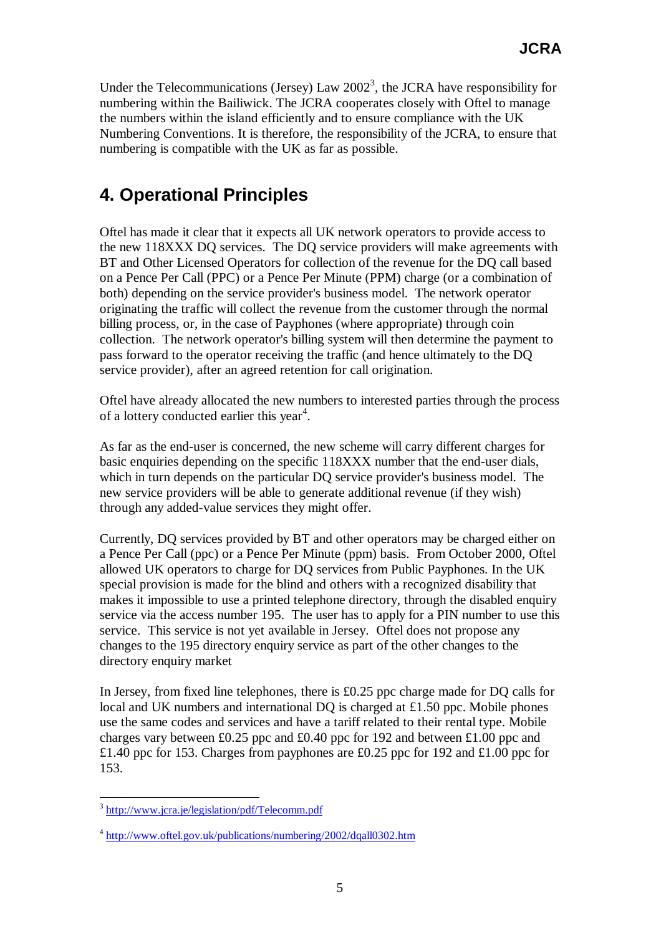Under the Telecommunications (Jersey) Law  $2002<sup>3</sup>$ , the JCRA have responsibility for numbering within the Bailiwick. The JCRA cooperates closely with Oftel to manage the numbers within the island efficiently and to ensure compliance with the UK Numbering Conventions. It is therefore, the responsibility of the JCRA, to ensure that numbering is compatible with the UK as far as possible.

### **4. Operational Principles**

Oftel has made it clear that it expects all UK network operators to provide access to the new 118XXX DQ services. The DQ service providers will make agreements with BT and Other Licensed Operators for collection of the revenue for the DQ call based on a Pence Per Call (PPC) or a Pence Per Minute (PPM) charge (or a combination of both) depending on the service provider's business model. The network operator originating the traffic will collect the revenue from the customer through the normal billing process, or, in the case of Payphones (where appropriate) through coin collection. The network operator's billing system will then determine the payment to pass forward to the operator receiving the traffic (and hence ultimately to the DQ service provider), after an agreed retention for call origination.

Oftel have already allocated the new numbers to interested parties through the process of a lottery conducted earlier this year<sup>4</sup>.

As far as the end-user is concerned, the new scheme will carry different charges for basic enquiries depending on the specific 118XXX number that the end-user dials, which in turn depends on the particular DQ service provider's business model. The new service providers will be able to generate additional revenue (if they wish) through any added-value services they might offer.

Currently, DQ services provided by BT and other operators may be charged either on a Pence Per Call (ppc) or a Pence Per Minute (ppm) basis. From October 2000, Oftel allowed UK operators to charge for DQ services from Public Payphones. In the UK special provision is made for the blind and others with a recognized disability that makes it impossible to use a printed telephone directory, through the disabled enquiry service via the access number 195. The user has to apply for a PIN number to use this service. This service is not yet available in Jersey. Oftel does not propose any changes to the 195 directory enquiry service as part of the other changes to the directory enquiry market

In Jersey, from fixed line telephones, there is  $\pounds 0.25$  ppc charge made for DQ calls for local and UK numbers and international DQ is charged at £1.50 ppc. Mobile phones use the same codes and services and have a tariff related to their rental type. Mobile charges vary between £0.25 ppc and £0.40 ppc for 192 and between £1.00 ppc and £1.40 ppc for 153. Charges from payphones are £0.25 ppc for 192 and £1.00 ppc for 153.

 $\overline{a}$ 

<sup>&</sup>lt;sup>3</sup> http://www.jcra.je/legislation/pdf/Telecomm.pdf

<sup>&</sup>lt;sup>4</sup> http://www.oftel.gov.uk/publications/numbering/2002/dqall0302.htm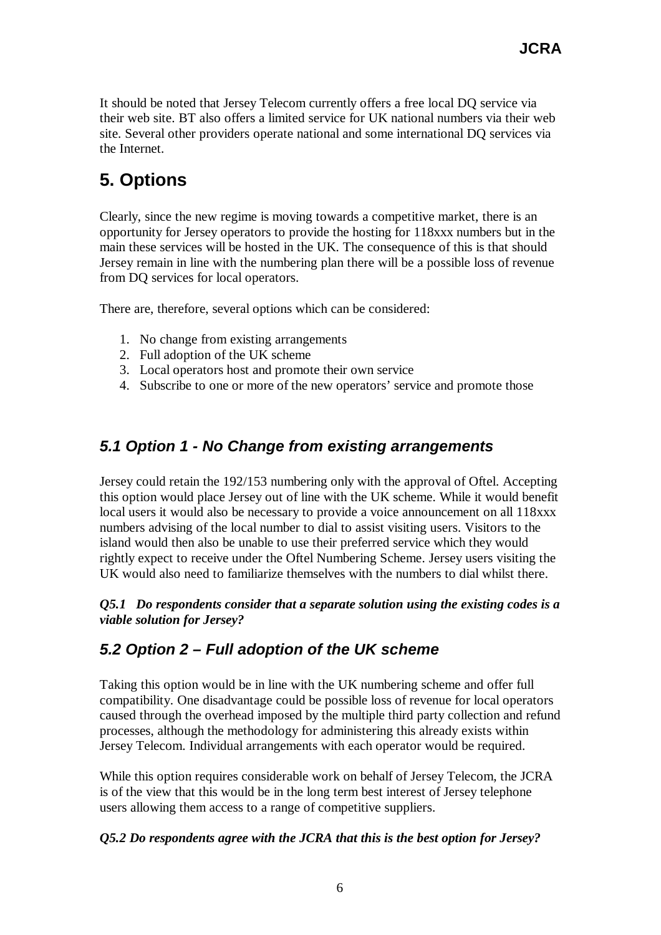It should be noted that Jersey Telecom currently offers a free local DQ service via their web site. BT also offers a limited service for UK national numbers via their web site. Several other providers operate national and some international DQ services via the Internet.

# **5. Options**

Clearly, since the new regime is moving towards a competitive market, there is an opportunity for Jersey operators to provide the hosting for 118xxx numbers but in the main these services will be hosted in the UK. The consequence of this is that should Jersey remain in line with the numbering plan there will be a possible loss of revenue from DQ services for local operators.

There are, therefore, several options which can be considered:

- 1. No change from existing arrangements
- 2. Full adoption of the UK scheme
- 3. Local operators host and promote their own service
- 4. Subscribe to one or more of the new operators' service and promote those

#### *5.1 Option 1 - No Change from existing arrangements*

Jersey could retain the 192/153 numbering only with the approval of Oftel. Accepting this option would place Jersey out of line with the UK scheme. While it would benefit local users it would also be necessary to provide a voice announcement on all 118xxx numbers advising of the local number to dial to assist visiting users. Visitors to the island would then also be unable to use their preferred service which they would rightly expect to receive under the Oftel Numbering Scheme. Jersey users visiting the UK would also need to familiarize themselves with the numbers to dial whilst there.

#### *Q5.1 Do respondents consider that a separate solution using the existing codes is a viable solution for Jersey?*

#### *5.2 Option 2 – Full adoption of the UK scheme*

Taking this option would be in line with the UK numbering scheme and offer full compatibility. One disadvantage could be possible loss of revenue for local operators caused through the overhead imposed by the multiple third party collection and refund processes, although the methodology for administering this already exists within Jersey Telecom. Individual arrangements with each operator would be required.

While this option requires considerable work on behalf of Jersey Telecom, the JCRA is of the view that this would be in the long term best interest of Jersey telephone users allowing them access to a range of competitive suppliers.

#### *Q5.2 Do respondents agree with the JCRA that this is the best option for Jersey?*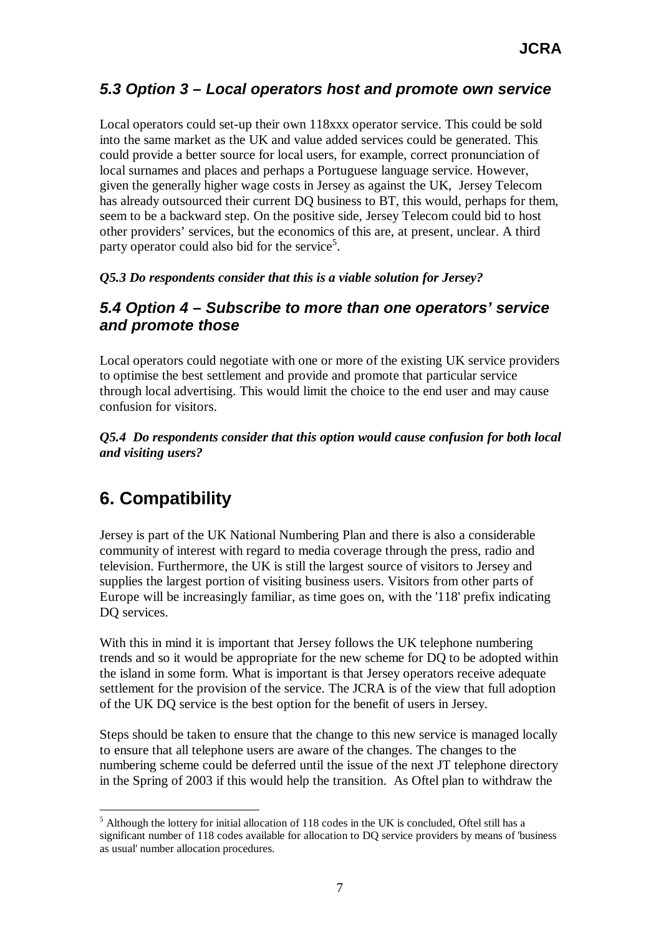### *5.3 Option 3 – Local operators host and promote own service*

Local operators could set-up their own 118xxx operator service. This could be sold into the same market as the UK and value added services could be generated. This could provide a better source for local users, for example, correct pronunciation of local surnames and places and perhaps a Portuguese language service. However, given the generally higher wage costs in Jersey as against the UK, Jersey Telecom has already outsourced their current DQ business to BT, this would, perhaps for them, seem to be a backward step. On the positive side, Jersey Telecom could bid to host other providers' services, but the economics of this are, at present, unclear. A third party operator could also bid for the service<sup>5</sup>.

*Q5.3 Do respondents consider that this is a viable solution for Jersey?*

#### *5.4 Option 4 – Subscribe to more than one operators' service and promote those*

Local operators could negotiate with one or more of the existing UK service providers to optimise the best settlement and provide and promote that particular service through local advertising. This would limit the choice to the end user and may cause confusion for visitors.

*Q5.4 Do respondents consider that this option would cause confusion for both local and visiting users?*

### **6. Compatibility**

Jersey is part of the UK National Numbering Plan and there is also a considerable community of interest with regard to media coverage through the press, radio and television. Furthermore, the UK is still the largest source of visitors to Jersey and supplies the largest portion of visiting business users. Visitors from other parts of Europe will be increasingly familiar, as time goes on, with the '118' prefix indicating DQ services.

With this in mind it is important that Jersey follows the UK telephone numbering trends and so it would be appropriate for the new scheme for DQ to be adopted within the island in some form. What is important is that Jersey operators receive adequate settlement for the provision of the service. The JCRA is of the view that full adoption of the UK DQ service is the best option for the benefit of users in Jersey.

Steps should be taken to ensure that the change to this new service is managed locally to ensure that all telephone users are aware of the changes. The changes to the numbering scheme could be deferred until the issue of the next JT telephone directory in the Spring of 2003 if this would help the transition. As Oftel plan to withdraw the

 $\overline{a}$  $<sup>5</sup>$  Although the lottery for initial allocation of 118 codes in the UK is concluded, Oftel still has a</sup> significant number of 118 codes available for allocation to DQ service providers by means of 'business as usual' number allocation procedures.